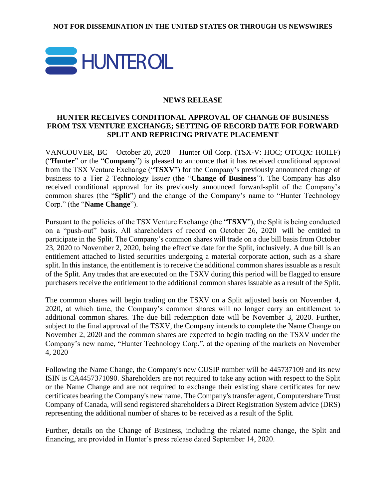

## **NEWS RELEASE**

# **HUNTER RECEIVES CONDITIONAL APPROVAL OF CHANGE OF BUSINESS FROM TSX VENTURE EXCHANGE; SETTING OF RECORD DATE FOR FORWARD SPLIT AND REPRICING PRIVATE PLACEMENT**

VANCOUVER, BC – October 20, 2020 – Hunter Oil Corp. (TSX-V: HOC; OTCQX: HOILF) ("**Hunter**" or the "**Company**") is pleased to announce that it has received conditional approval from the TSX Venture Exchange ("**TSXV**") for the Company's previously announced change of business to a Tier 2 Technology Issuer (the "**Change of Business**"). The Company has also received conditional approval for its previously announced forward-split of the Company's common shares (the "**Split**") and the change of the Company's name to "Hunter Technology Corp." (the "**Name Change**").

Pursuant to the policies of the TSX Venture Exchange (the "**TSXV**"), the Split is being conducted on a "push-out" basis. All shareholders of record on October 26, 2020 will be entitled to participate in the Split. The Company's common shares will trade on a due bill basis from October 23, 2020 to November 2, 2020, being the effective date for the Split, inclusively. A due bill is an entitlement attached to listed securities undergoing a material corporate action, such as a share split. In this instance, the entitlement is to receive the additional common shares issuable as a result of the Split. Any trades that are executed on the TSXV during this period will be flagged to ensure purchasers receive the entitlement to the additional common shares issuable as a result of the Split.

The common shares will begin trading on the TSXV on a Split adjusted basis on November 4, 2020, at which time, the Company's common shares will no longer carry an entitlement to additional common shares. The due bill redemption date will be November 3, 2020. Further, subject to the final approval of the TSXV, the Company intends to complete the Name Change on November 2, 2020 and the common shares are expected to begin trading on the TSXV under the Company's new name, "Hunter Technology Corp.", at the opening of the markets on November 4, 2020

Following the Name Change, the Company's new CUSIP number will be 445737109 and its new ISIN is CA4457371090. Shareholders are not required to take any action with respect to the Split or the Name Change and are not required to exchange their existing share certificates for new certificates bearing the Company's new name. The Company's transfer agent, Computershare Trust Company of Canada, will send registered shareholders a Direct Registration System advice (DRS) representing the additional number of shares to be received as a result of the Split.

Further, details on the Change of Business, including the related name change, the Split and financing, are provided in Hunter's press release dated September 14, 2020.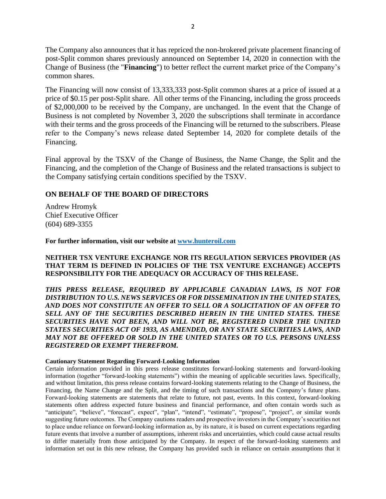The Company also announces that it has repriced the non-brokered private placement financing of post-Split common shares previously announced on September 14, 2020 in connection with the Change of Business (the "**Financing**") to better reflect the current market price of the Company's common shares.

The Financing will now consist of 13,333,333 post-Split common shares at a price of issued at a price of \$0.15 per post-Split share. All other terms of the Financing, including the gross proceeds of \$2,000,000 to be received by the Company, are unchanged. In the event that the Change of Business is not completed by November 3, 2020 the subscriptions shall terminate in accordance with their terms and the gross proceeds of the Financing will be returned to the subscribers. Please refer to the Company's news release dated September 14, 2020 for complete details of the Financing.

Final approval by the TSXV of the Change of Business, the Name Change, the Split and the Financing, and the completion of the Change of Business and the related transactions is subject to the Company satisfying certain conditions specified by the TSXV.

### **ON BEHALF OF THE BOARD OF DIRECTORS**

Andrew Hromyk Chief Executive Officer (604) 689-3355

**For further information, visit our website at [www.hunteroil.com](http://www.hunteroil.com/)**

#### **NEITHER TSX VENTURE EXCHANGE NOR ITS REGULATION SERVICES PROVIDER (AS THAT TERM IS DEFINED IN POLICIES OF THE TSX VENTURE EXCHANGE) ACCEPTS RESPONSIBILITY FOR THE ADEQUACY OR ACCURACY OF THIS RELEASE.**

*THIS PRESS RELEASE, REQUIRED BY APPLICABLE CANADIAN LAWS, IS NOT FOR DISTRIBUTION TO U.S. NEWS SERVICES OR FOR DISSEMINATION IN THE UNITED STATES, AND DOES NOT CONSTITUTE AN OFFER TO SELL OR A SOLICITATION OF AN OFFER TO SELL ANY OF THE SECURITIES DESCRIBED HEREIN IN THE UNITED STATES. THESE SECURITIES HAVE NOT BEEN, AND WILL NOT BE, REGISTERED UNDER THE UNITED STATES SECURITIES ACT OF 1933, AS AMENDED, OR ANY STATE SECURITIES LAWS, AND MAY NOT BE OFFERED OR SOLD IN THE UNITED STATES OR TO U.S. PERSONS UNLESS REGISTERED OR EXEMPT THEREFROM.*

#### **Cautionary Statement Regarding Forward-Looking Information**

Certain information provided in this press release constitutes forward-looking statements and forward-looking information (together "forward-looking statements") within the meaning of applicable securities laws. Specifically, and without limitation, this press release contains forward-looking statements relating to the Change of Business, the Financing, the Name Change and the Split, and the timing of such transactions and the Company's future plans. Forward‐looking statements are statements that relate to future, not past, events. In this context, forward-looking statements often address expected future business and financial performance, and often contain words such as "anticipate", "believe", "forecast", expect", "plan", "intend", "estimate", "propose", "project", or similar words suggesting future outcomes. The Company cautions readers and prospective investors in the Company's securities not to place undue reliance on forward‐looking information as, by its nature, it is based on current expectations regarding future events that involve a number of assumptions, inherent risks and uncertainties, which could cause actual results to differ materially from those anticipated by the Company. In respect of the forward-looking statements and information set out in this new release, the Company has provided such in reliance on certain assumptions that it